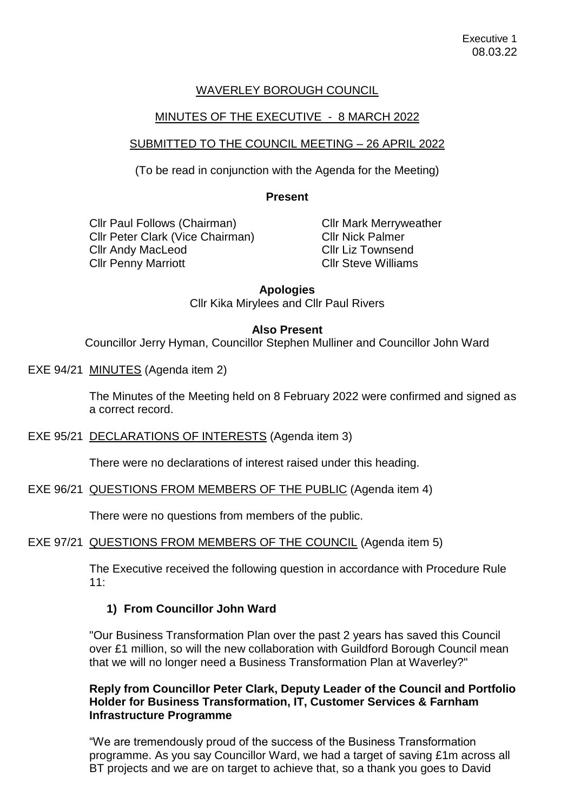## WAVERLEY BOROUGH COUNCIL

## MINUTES OF THE EXECUTIVE - 8 MARCH 2022

## SUBMITTED TO THE COUNCIL MEETING – 26 APRIL 2022

(To be read in conjunction with the Agenda for the Meeting)

#### **Present**

Cllr Paul Follows (Chairman) Cllr Peter Clark (Vice Chairman) Cllr Andy MacLeod Cllr Penny Marriott

Cllr Mark Merryweather Cllr Nick Palmer Cllr Liz Townsend Cllr Steve Williams

#### **Apologies**

Cllr Kika Mirylees and Cllr Paul Rivers

### **Also Present**

Councillor Jerry Hyman, Councillor Stephen Mulliner and Councillor John Ward

EXE 94/21 MINUTES (Agenda item 2)

The Minutes of the Meeting held on 8 February 2022 were confirmed and signed as a correct record.

EXE 95/21 DECLARATIONS OF INTERESTS (Agenda item 3)

There were no declarations of interest raised under this heading.

EXE 96/21 QUESTIONS FROM MEMBERS OF THE PUBLIC (Agenda item 4)

There were no questions from members of the public.

EXE 97/21 QUESTIONS FROM MEMBERS OF THE COUNCIL (Agenda item 5)

The Executive received the following question in accordance with Procedure Rule  $11:$ 

## **1) From Councillor John Ward**

"Our Business Transformation Plan over the past 2 years has saved this Council over £1 million, so will the new collaboration with Guildford Borough Council mean that we will no longer need a Business Transformation Plan at Waverley?"

## **Reply from Councillor Peter Clark, Deputy Leader of the Council and Portfolio Holder for Business Transformation, IT, Customer Services & Farnham Infrastructure Programme**

"We are tremendously proud of the success of the Business Transformation programme. As you say Councillor Ward, we had a target of saving £1m across all BT projects and we are on target to achieve that, so a thank you goes to David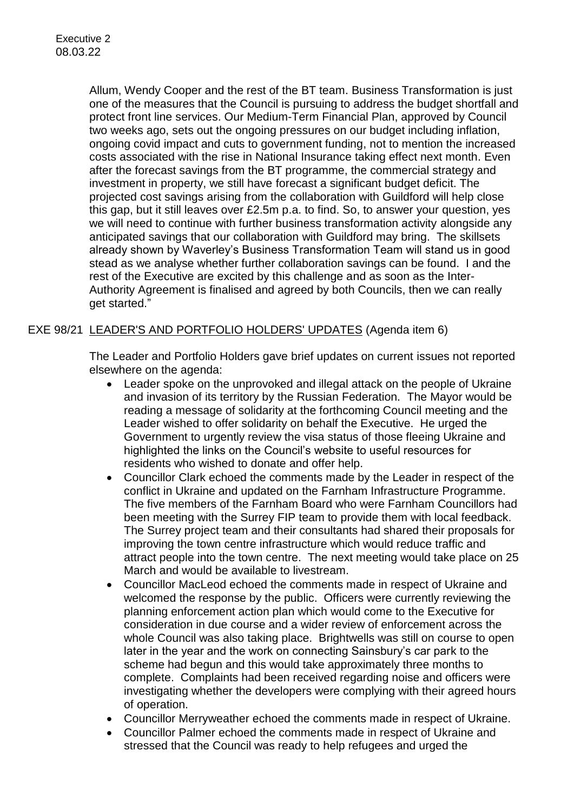Allum, Wendy Cooper and the rest of the BT team. Business Transformation is just one of the measures that the Council is pursuing to address the budget shortfall and protect front line services. Our Medium-Term Financial Plan, approved by Council two weeks ago, sets out the ongoing pressures on our budget including inflation, ongoing covid impact and cuts to government funding, not to mention the increased costs associated with the rise in National Insurance taking effect next month. Even after the forecast savings from the BT programme, the commercial strategy and investment in property, we still have forecast a significant budget deficit. The projected cost savings arising from the collaboration with Guildford will help close this gap, but it still leaves over £2.5m p.a. to find. So, to answer your question, yes we will need to continue with further business transformation activity alongside any anticipated savings that our collaboration with Guildford may bring. The skillsets already shown by Waverley's Business Transformation Team will stand us in good stead as we analyse whether further collaboration savings can be found. I and the rest of the Executive are excited by this challenge and as soon as the Inter-Authority Agreement is finalised and agreed by both Councils, then we can really get started."

## EXE 98/21 LEADER'S AND PORTFOLIO HOLDERS' UPDATES (Agenda item 6)

The Leader and Portfolio Holders gave brief updates on current issues not reported elsewhere on the agenda:

- Leader spoke on the unprovoked and illegal attack on the people of Ukraine and invasion of its territory by the Russian Federation. The Mayor would be reading a message of solidarity at the forthcoming Council meeting and the Leader wished to offer solidarity on behalf the Executive. He urged the Government to urgently review the visa status of those fleeing Ukraine and highlighted the links on the Council's website to useful resources for residents who wished to donate and offer help.
- Councillor Clark echoed the comments made by the Leader in respect of the conflict in Ukraine and updated on the Farnham Infrastructure Programme. The five members of the Farnham Board who were Farnham Councillors had been meeting with the Surrey FIP team to provide them with local feedback. The Surrey project team and their consultants had shared their proposals for improving the town centre infrastructure which would reduce traffic and attract people into the town centre. The next meeting would take place on 25 March and would be available to livestream.
- Councillor MacLeod echoed the comments made in respect of Ukraine and welcomed the response by the public. Officers were currently reviewing the planning enforcement action plan which would come to the Executive for consideration in due course and a wider review of enforcement across the whole Council was also taking place. Brightwells was still on course to open later in the year and the work on connecting Sainsbury's car park to the scheme had begun and this would take approximately three months to complete. Complaints had been received regarding noise and officers were investigating whether the developers were complying with their agreed hours of operation.
- Councillor Merryweather echoed the comments made in respect of Ukraine.
- Councillor Palmer echoed the comments made in respect of Ukraine and stressed that the Council was ready to help refugees and urged the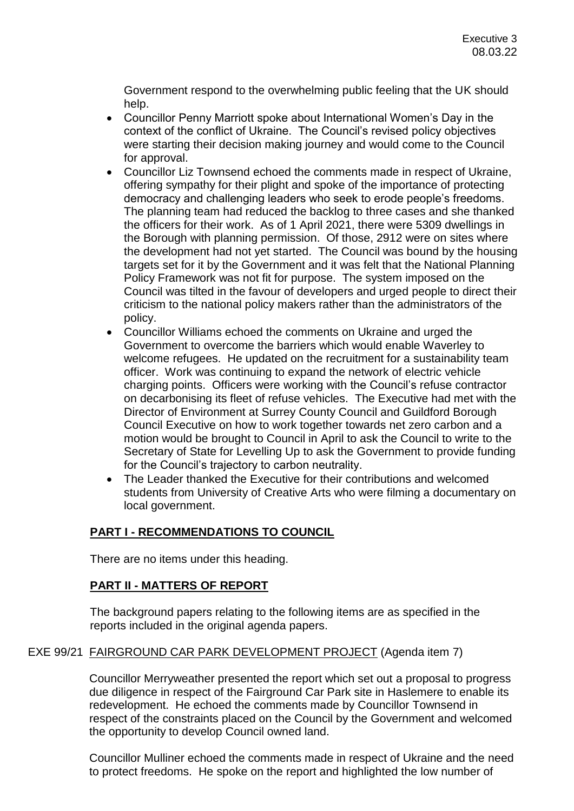Government respond to the overwhelming public feeling that the UK should help.

- Councillor Penny Marriott spoke about International Women's Day in the context of the conflict of Ukraine. The Council's revised policy objectives were starting their decision making journey and would come to the Council for approval.
- Councillor Liz Townsend echoed the comments made in respect of Ukraine, offering sympathy for their plight and spoke of the importance of protecting democracy and challenging leaders who seek to erode people's freedoms. The planning team had reduced the backlog to three cases and she thanked the officers for their work. As of 1 April 2021, there were 5309 dwellings in the Borough with planning permission. Of those, 2912 were on sites where the development had not yet started. The Council was bound by the housing targets set for it by the Government and it was felt that the National Planning Policy Framework was not fit for purpose. The system imposed on the Council was tilted in the favour of developers and urged people to direct their criticism to the national policy makers rather than the administrators of the policy.
- Councillor Williams echoed the comments on Ukraine and urged the Government to overcome the barriers which would enable Waverley to welcome refugees. He updated on the recruitment for a sustainability team officer. Work was continuing to expand the network of electric vehicle charging points. Officers were working with the Council's refuse contractor on decarbonising its fleet of refuse vehicles. The Executive had met with the Director of Environment at Surrey County Council and Guildford Borough Council Executive on how to work together towards net zero carbon and a motion would be brought to Council in April to ask the Council to write to the Secretary of State for Levelling Up to ask the Government to provide funding for the Council's trajectory to carbon neutrality.
- The Leader thanked the Executive for their contributions and welcomed students from University of Creative Arts who were filming a documentary on local government.

# **PART I - RECOMMENDATIONS TO COUNCIL**

There are no items under this heading.

# **PART II - MATTERS OF REPORT**

The background papers relating to the following items are as specified in the reports included in the original agenda papers.

## EXE 99/21 FAIRGROUND CAR PARK DEVELOPMENT PROJECT (Agenda item 7)

Councillor Merryweather presented the report which set out a proposal to progress due diligence in respect of the Fairground Car Park site in Haslemere to enable its redevelopment. He echoed the comments made by Councillor Townsend in respect of the constraints placed on the Council by the Government and welcomed the opportunity to develop Council owned land.

Councillor Mulliner echoed the comments made in respect of Ukraine and the need to protect freedoms. He spoke on the report and highlighted the low number of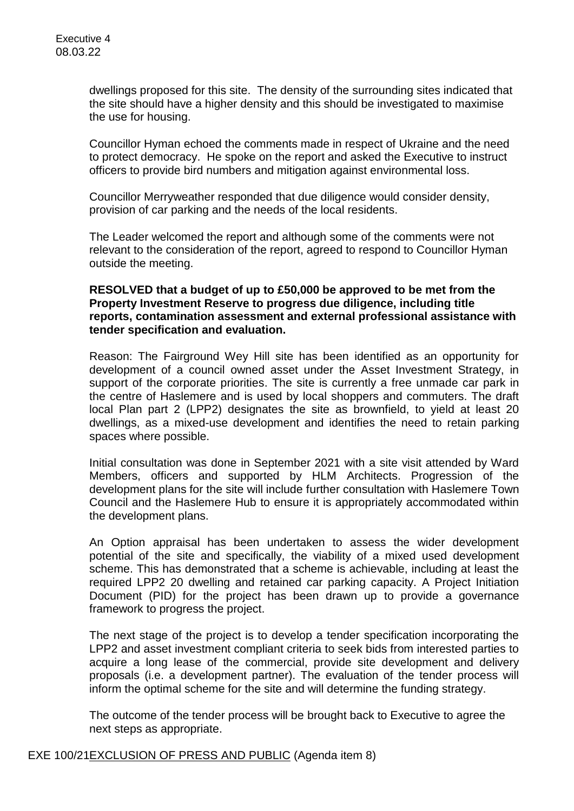dwellings proposed for this site. The density of the surrounding sites indicated that the site should have a higher density and this should be investigated to maximise the use for housing.

Councillor Hyman echoed the comments made in respect of Ukraine and the need to protect democracy. He spoke on the report and asked the Executive to instruct officers to provide bird numbers and mitigation against environmental loss.

Councillor Merryweather responded that due diligence would consider density, provision of car parking and the needs of the local residents.

The Leader welcomed the report and although some of the comments were not relevant to the consideration of the report, agreed to respond to Councillor Hyman outside the meeting.

## **RESOLVED that a budget of up to £50,000 be approved to be met from the Property Investment Reserve to progress due diligence, including title reports, contamination assessment and external professional assistance with tender specification and evaluation.**

Reason: The Fairground Wey Hill site has been identified as an opportunity for development of a council owned asset under the Asset Investment Strategy, in support of the corporate priorities. The site is currently a free unmade car park in the centre of Haslemere and is used by local shoppers and commuters. The draft local Plan part 2 (LPP2) designates the site as brownfield, to yield at least 20 dwellings, as a mixed-use development and identifies the need to retain parking spaces where possible.

Initial consultation was done in September 2021 with a site visit attended by Ward Members, officers and supported by HLM Architects. Progression of the development plans for the site will include further consultation with Haslemere Town Council and the Haslemere Hub to ensure it is appropriately accommodated within the development plans.

An Option appraisal has been undertaken to assess the wider development potential of the site and specifically, the viability of a mixed used development scheme. This has demonstrated that a scheme is achievable, including at least the required LPP2 20 dwelling and retained car parking capacity. A Project Initiation Document (PID) for the project has been drawn up to provide a governance framework to progress the project.

The next stage of the project is to develop a tender specification incorporating the LPP2 and asset investment compliant criteria to seek bids from interested parties to acquire a long lease of the commercial, provide site development and delivery proposals (i.e. a development partner). The evaluation of the tender process will inform the optimal scheme for the site and will determine the funding strategy.

The outcome of the tender process will be brought back to Executive to agree the next steps as appropriate.

EXE 100/21EXCLUSION OF PRESS AND PUBLIC (Agenda item 8)